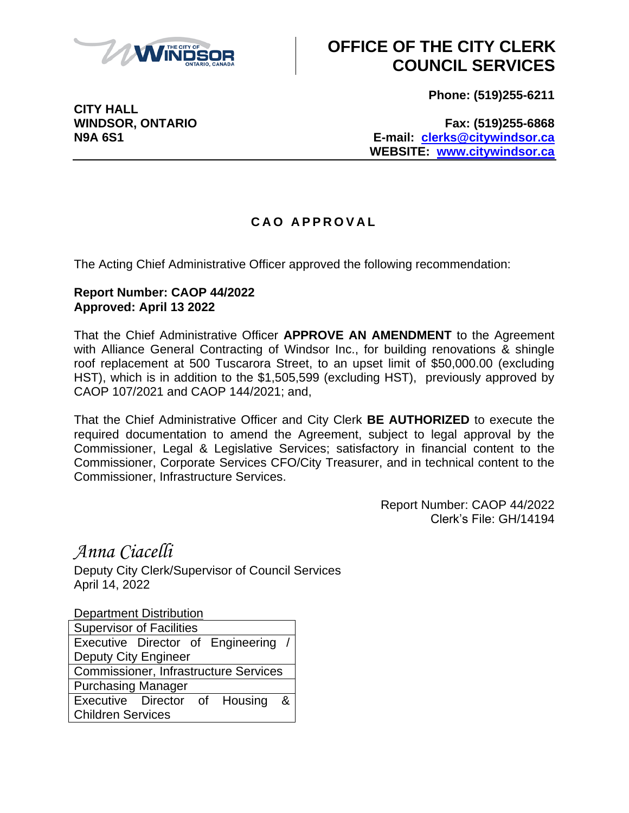

## **OFFICE OF THE CITY CLERK COUNCIL SERVICES**

**Phone: (519)255-6211**

**CITY HALL**

**WINDSOR, ONTARIO Fax: (519)255-6868 N9A 6S1 E-mail: [clerks@citywindsor.ca](mailto:clerks@citywindsor.ca) WEBSITE: [www.citywindsor.ca](http://www.citywindsor.ca/)**

## **C A O A P P R O V A L**

The Acting Chief Administrative Officer approved the following recommendation:

## **Report Number: CAOP 44/2022 Approved: April 13 2022**

That the Chief Administrative Officer **APPROVE AN AMENDMENT** to the Agreement with Alliance General Contracting of Windsor Inc., for building renovations & shingle roof replacement at 500 Tuscarora Street, to an upset limit of \$50,000.00 (excluding HST), which is in addition to the \$1,505,599 (excluding HST), previously approved by CAOP 107/2021 and CAOP 144/2021; and,

That the Chief Administrative Officer and City Clerk **BE AUTHORIZED** to execute the required documentation to amend the Agreement, subject to legal approval by the Commissioner, Legal & Legislative Services; satisfactory in financial content to the Commissioner, Corporate Services CFO/City Treasurer, and in technical content to the Commissioner, Infrastructure Services.

> Report Number: CAOP 44/2022 Clerk's File: GH/14194

*Anna Ciacelli*

Deputy City Clerk/Supervisor of Council Services April 14, 2022

Department Distribution

| <b>Supervisor of Facilities</b>              |  |  |  |  |
|----------------------------------------------|--|--|--|--|
| Executive Director of Engineering /          |  |  |  |  |
| <b>Deputy City Engineer</b>                  |  |  |  |  |
| <b>Commissioner, Infrastructure Services</b> |  |  |  |  |
| <b>Purchasing Manager</b>                    |  |  |  |  |
| Executive Director of Housing &              |  |  |  |  |
| <b>Children Services</b>                     |  |  |  |  |